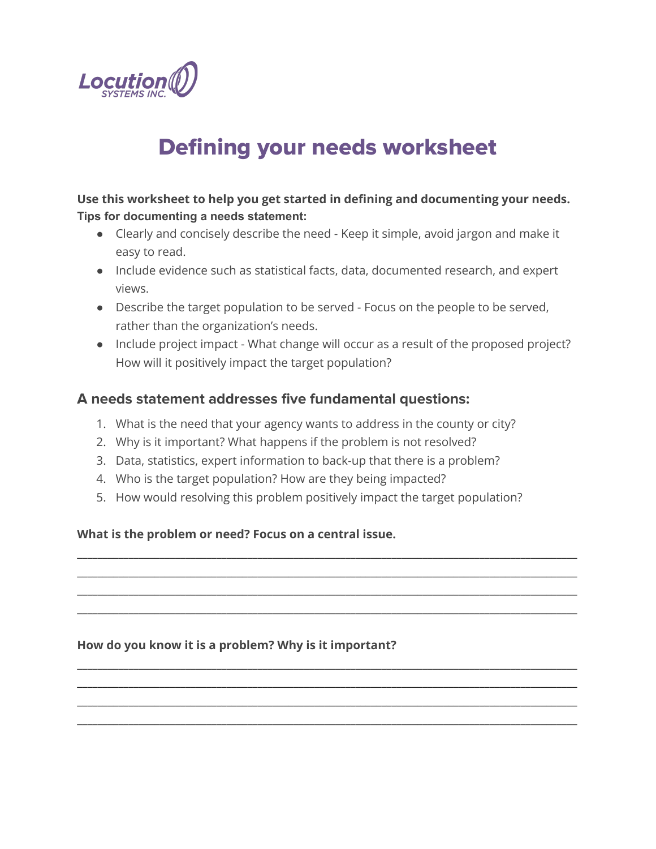

# Defining your needs worksheet

## **Use this worksheet to help you get started in defining and documenting your needs. Tips for documenting a needs statement:**

- Clearly and concisely describe the need Keep it simple, avoid jargon and make it easy to read.
- Include evidence such as statistical facts, data, documented research, and expert views.
- Describe the target population to be served Focus on the people to be served, rather than the organization's needs.
- Include project impact What change will occur as a result of the proposed project? How will it positively impact the target population?

## **A needs statement addresses five fundamental questions:**

- 1. What is the need that your agency wants to address in the county or city?
- 2. Why is it important? What happens if the problem is not resolved?
- 3. Data, statistics, expert information to back-up that there is a problem?
- 4. Who is the target population? How are they being impacted?
- 5. How would resolving this problem positively impact the target population?

\_\_\_\_\_\_\_\_\_\_\_\_\_\_\_\_\_\_\_\_\_\_\_\_\_\_\_\_\_\_\_\_\_\_\_\_\_\_\_\_\_\_\_\_\_\_\_\_\_\_\_\_\_\_\_\_\_\_\_\_\_\_\_\_\_\_\_\_\_\_\_\_\_\_\_\_\_\_\_\_\_\_\_\_\_\_\_\_\_\_\_\_\_\_\_\_\_ \_\_\_\_\_\_\_\_\_\_\_\_\_\_\_\_\_\_\_\_\_\_\_\_\_\_\_\_\_\_\_\_\_\_\_\_\_\_\_\_\_\_\_\_\_\_\_\_\_\_\_\_\_\_\_\_\_\_\_\_\_\_\_\_\_\_\_\_\_\_\_\_\_\_\_\_\_\_\_\_\_\_\_\_\_\_\_\_\_\_\_\_\_\_\_\_\_ \_\_\_\_\_\_\_\_\_\_\_\_\_\_\_\_\_\_\_\_\_\_\_\_\_\_\_\_\_\_\_\_\_\_\_\_\_\_\_\_\_\_\_\_\_\_\_\_\_\_\_\_\_\_\_\_\_\_\_\_\_\_\_\_\_\_\_\_\_\_\_\_\_\_\_\_\_\_\_\_\_\_\_\_\_\_\_\_\_\_\_\_\_\_\_\_\_ \_\_\_\_\_\_\_\_\_\_\_\_\_\_\_\_\_\_\_\_\_\_\_\_\_\_\_\_\_\_\_\_\_\_\_\_\_\_\_\_\_\_\_\_\_\_\_\_\_\_\_\_\_\_\_\_\_\_\_\_\_\_\_\_\_\_\_\_\_\_\_\_\_\_\_\_\_\_\_\_\_\_\_\_\_\_\_\_\_\_\_\_\_\_\_\_\_

\_\_\_\_\_\_\_\_\_\_\_\_\_\_\_\_\_\_\_\_\_\_\_\_\_\_\_\_\_\_\_\_\_\_\_\_\_\_\_\_\_\_\_\_\_\_\_\_\_\_\_\_\_\_\_\_\_\_\_\_\_\_\_\_\_\_\_\_\_\_\_\_\_\_\_\_\_\_\_\_\_\_\_\_\_\_\_\_\_\_\_\_\_\_\_\_\_ \_\_\_\_\_\_\_\_\_\_\_\_\_\_\_\_\_\_\_\_\_\_\_\_\_\_\_\_\_\_\_\_\_\_\_\_\_\_\_\_\_\_\_\_\_\_\_\_\_\_\_\_\_\_\_\_\_\_\_\_\_\_\_\_\_\_\_\_\_\_\_\_\_\_\_\_\_\_\_\_\_\_\_\_\_\_\_\_\_\_\_\_\_\_\_\_\_ \_\_\_\_\_\_\_\_\_\_\_\_\_\_\_\_\_\_\_\_\_\_\_\_\_\_\_\_\_\_\_\_\_\_\_\_\_\_\_\_\_\_\_\_\_\_\_\_\_\_\_\_\_\_\_\_\_\_\_\_\_\_\_\_\_\_\_\_\_\_\_\_\_\_\_\_\_\_\_\_\_\_\_\_\_\_\_\_\_\_\_\_\_\_\_\_\_ \_\_\_\_\_\_\_\_\_\_\_\_\_\_\_\_\_\_\_\_\_\_\_\_\_\_\_\_\_\_\_\_\_\_\_\_\_\_\_\_\_\_\_\_\_\_\_\_\_\_\_\_\_\_\_\_\_\_\_\_\_\_\_\_\_\_\_\_\_\_\_\_\_\_\_\_\_\_\_\_\_\_\_\_\_\_\_\_\_\_\_\_\_\_\_\_\_

### **What is the problem or need? Focus on a central issue.**

### **How do you know it is a problem? Why is it important?**